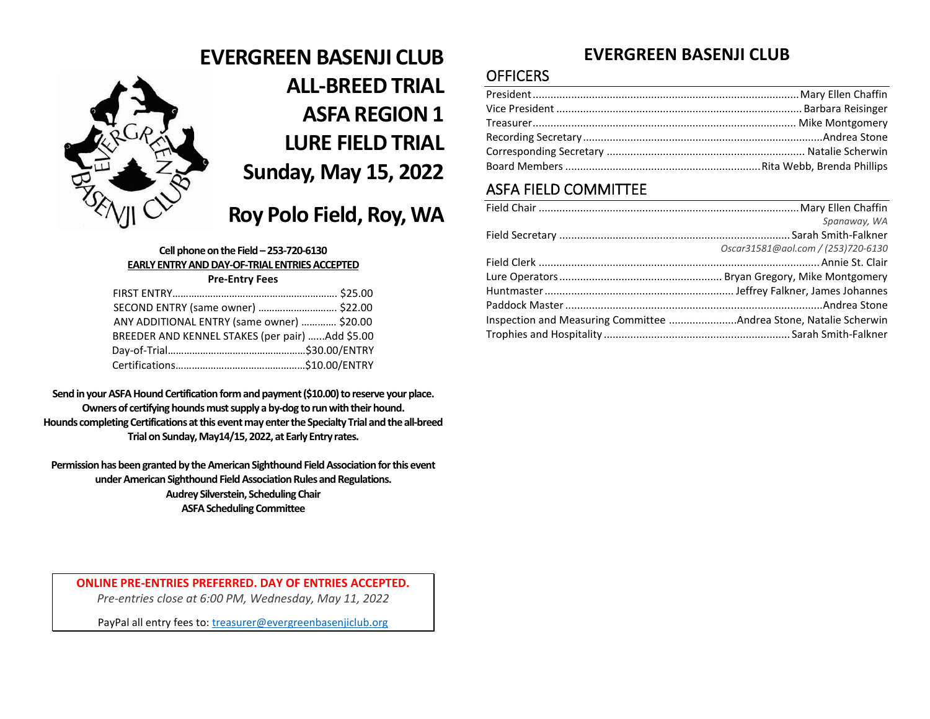

# **EVERGREEN BASENJI CLUB ALL-BREED TRIAL ASFA REGION 1 LURE FIELD TRIAL Sunday, May 15, 2022**

# **Roy Polo Field, Roy, WA**

### **Cell phone on the Field – 253-720-6130 EARLY ENTRY AND DAY-OF-TRIAL ENTRIES ACCEPTED**

### **Pre-Entry Fees**

| SECOND ENTRY (same owner)  \$22.00              |  |
|-------------------------------------------------|--|
| ANY ADDITIONAL ENTRY (same owner)  \$20.00      |  |
| BREEDER AND KENNEL STAKES (per pair) Add \$5.00 |  |
|                                                 |  |
|                                                 |  |

**Send in your ASFA Hound Certification form and payment (\$10.00) to reserve your place. Owners of certifying hounds must supply a by-dog to run with their hound. Hounds completing Certifications at this event may enter the Specialty Trial and the all-breed Trial on Sunday, May14/15, 2022, at Early Entry rates.**

**Permission has been granted by the American Sighthound Field Association for this event under American Sighthound Field Association Rules and Regulations. Audrey Silverstein, Scheduling Chair ASFA Scheduling Committee**

**ONLINE PRE-ENTRIES PREFERRED. DAY OF ENTRIES ACCEPTED.**

*Pre-entries close at 6:00 PM, Wednesday, May 11, 2022*

PayPal all entry fees to[: treasurer@evergreenbasenjiclub.org](mailto:treasurer@evergreenbasenjiclub.org)

# **EVERGREEN BASENJI CLUB**

## **OFFICERS**

# ASFA FIELD COMMITTEE

|                                                                   | Spanaway, WA                       |
|-------------------------------------------------------------------|------------------------------------|
|                                                                   |                                    |
|                                                                   | Oscar31581@aol.com / (253)720-6130 |
|                                                                   |                                    |
|                                                                   |                                    |
|                                                                   |                                    |
|                                                                   |                                    |
| Inspection and Measuring Committee Andrea Stone, Natalie Scherwin |                                    |
|                                                                   |                                    |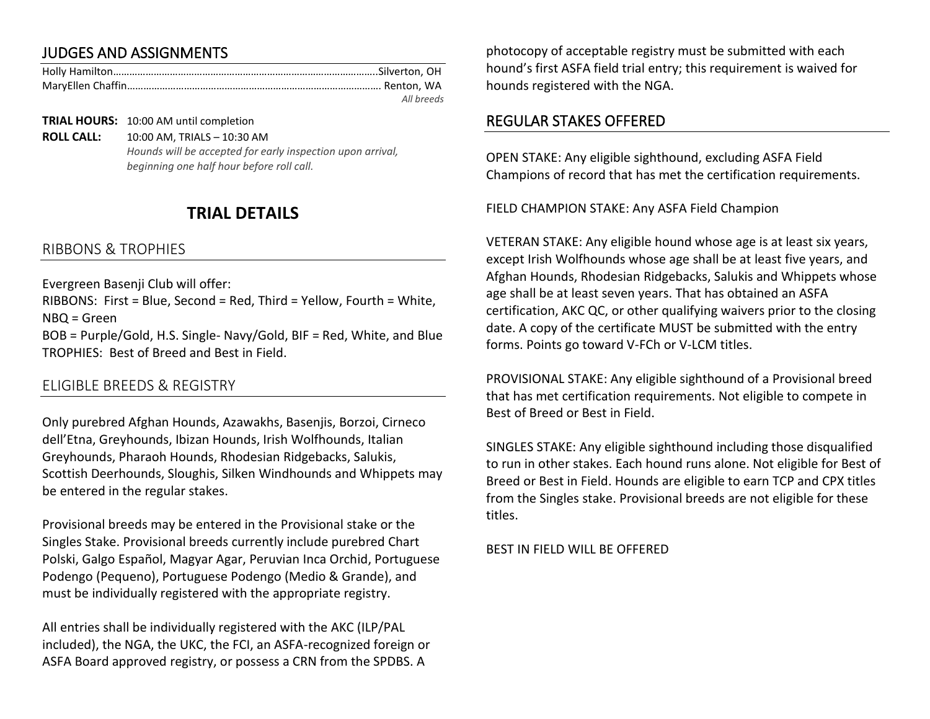# JUDGES AND ASSIGNMENTS

| All breeds |
|------------|

**TRIAL HOURS:** 10:00 AM until completion

**ROLL CALL:** 10:00 AM, TRIALS – 10:30 AM *Hounds will be accepted for early inspection upon arrival, beginning one half hour before roll call.*

# **TRIAL DETAILS**

### RIBBONS & TROPHIES

Evergreen Basenji Club will offer:

RIBBONS: First = Blue, Second = Red, Third = Yellow, Fourth = White, NBQ = Green

BOB = Purple/Gold, H.S. Single- Navy/Gold, BIF = Red, White, and Blue TROPHIES: Best of Breed and Best in Field.

### ELIGIBLE BREEDS & REGISTRY

Only purebred Afghan Hounds, Azawakhs, Basenjis, Borzoi, Cirneco dell'Etna, Greyhounds, Ibizan Hounds, Irish Wolfhounds, Italian Greyhounds, Pharaoh Hounds, Rhodesian Ridgebacks, Salukis, Scottish Deerhounds, Sloughis, Silken Windhounds and Whippets may be entered in the regular stakes.

Provisional breeds may be entered in the Provisional stake or the Singles Stake. Provisional breeds currently include purebred Chart Polski, Galgo Español, Magyar Agar, Peruvian Inca Orchid, Portuguese Podengo (Pequeno), Portuguese Podengo (Medio & Grande), and must be individually registered with the appropriate registry.

All entries shall be individually registered with the AKC (ILP/PAL included), the NGA, the UKC, the FCI, an ASFA-recognized foreign or ASFA Board approved registry, or possess a CRN from the SPDBS. A

photocopy of acceptable registry must be submitted with each hound's first ASFA field trial entry; this requirement is waived for hounds registered with the NGA.

### REGULAR STAKES OFFERED

OPEN STAKE: Any eligible sighthound, excluding ASFA Field Champions of record that has met the certification requirements.

FIELD CHAMPION STAKE: Any ASFA Field Champion

VETERAN STAKE: Any eligible hound whose age is at least six years, except Irish Wolfhounds whose age shall be at least five years, and Afghan Hounds, Rhodesian Ridgebacks, Salukis and Whippets whose age shall be at least seven years. That has obtained an ASFA certification, AKC QC, or other qualifying waivers prior to the closing date. A copy of the certificate MUST be submitted with the entry forms. Points go toward V-FCh or V-LCM titles.

PROVISIONAL STAKE: Any eligible sighthound of a Provisional breed that has met certification requirements. Not eligible to compete in Best of Breed or Best in Field.

SINGLES STAKE: Any eligible sighthound including those disqualified to run in other stakes. Each hound runs alone. Not eligible for Best of Breed or Best in Field. Hounds are eligible to earn TCP and CPX titles from the Singles stake. Provisional breeds are not eligible for these titles.

BEST IN FIELD WILL BE OFFERED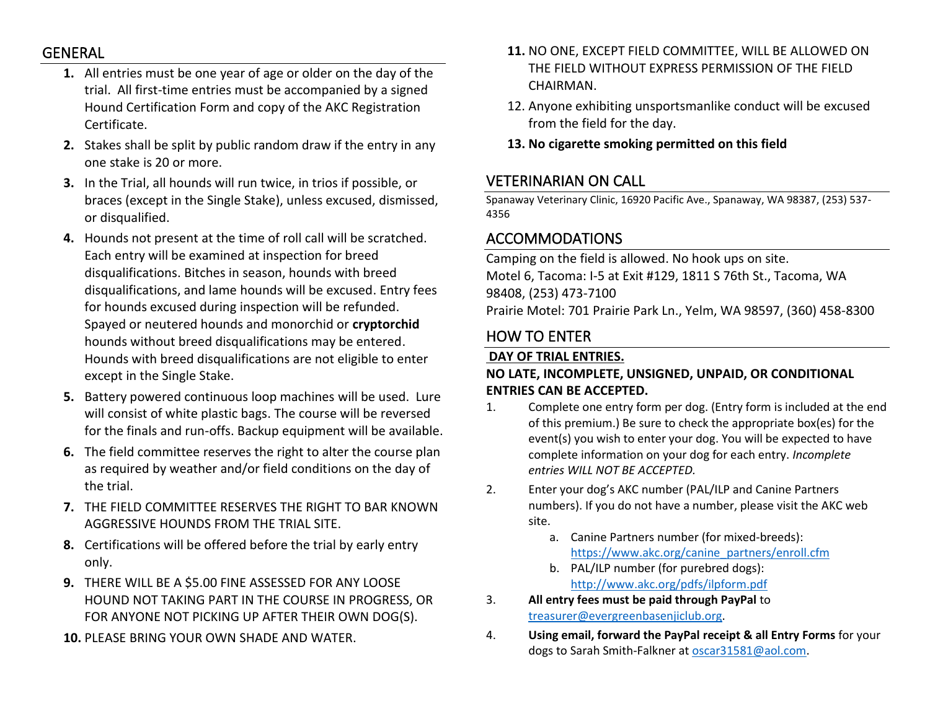### GENERAL

- **1.** All entries must be one year of age or older on the day of the trial. All first-time entries must be accompanied by a signed Hound Certification Form and copy of the AKC Registration Certificate.
- **2.** Stakes shall be split by public random draw if the entry in any one stake is 20 or more.
- **3.** In the Trial, all hounds will run twice, in trios if possible, or braces (except in the Single Stake), unless excused, dismissed, or disqualified.
- **4.** Hounds not present at the time of roll call will be scratched. Each entry will be examined at inspection for breed disqualifications. Bitches in season, hounds with breed disqualifications, and lame hounds will be excused. Entry fees for hounds excused during inspection will be refunded. Spayed or neutered hounds and monorchid or **cryptorchid** hounds without breed disqualifications may be entered. Hounds with breed disqualifications are not eligible to enter except in the Single Stake.
- **5.** Battery powered continuous loop machines will be used. Lure will consist of white plastic bags. The course will be reversed for the finals and run-offs. Backup equipment will be available.
- **6.** The field committee reserves the right to alter the course plan as required by weather and/or field conditions on the day of the trial.
- **7.** THE FIELD COMMITTEE RESERVES THE RIGHT TO BAR KNOWN AGGRESSIVE HOUNDS FROM THE TRIAL SITE.
- **8.** Certifications will be offered before the trial by early entry only.
- **9.** THERE WILL BE A \$5.00 FINE ASSESSED FOR ANY LOOSE HOUND NOT TAKING PART IN THE COURSE IN PROGRESS, OR FOR ANYONE NOT PICKING UP AFTER THEIR OWN DOG(S).
- **10.** PLEASE BRING YOUR OWN SHADE AND WATER.
- **11.** NO ONE, EXCEPT FIELD COMMITTEE, WILL BE ALLOWED ON THE FIELD WITHOUT EXPRESS PERMISSION OF THE FIELD CHAIRMAN.
- 12. Anyone exhibiting unsportsmanlike conduct will be excused from the field for the day.
- **13. No cigarette smoking permitted on this field**

# VETERINARIAN ON CALL

Spanaway Veterinary Clinic, 16920 Pacific Ave., Spanaway, WA 98387, (253) 537- 4356

# ACCOMMODATIONS

Camping on the field is allowed. No hook ups on site. Motel 6, Tacoma: I-5 at Exit #129, 1811 S 76th St., Tacoma, WA 98408, (253) 473-7100 Prairie Motel: 701 Prairie Park Ln., Yelm, WA 98597, (360) 458-8300

# HOW TO ENTER

### **DAY OF TRIAL ENTRIES.**

### **NO LATE, INCOMPLETE, UNSIGNED, UNPAID, OR CONDITIONAL ENTRIES CAN BE ACCEPTED.**

- 1. Complete one entry form per dog. (Entry form is included at the end of this premium.) Be sure to check the appropriate box(es) for the event(s) you wish to enter your dog. You will be expected to have complete information on your dog for each entry. *Incomplete entries WILL NOT BE ACCEPTED.*
- 2. Enter your dog's AKC number (PAL/ILP and Canine Partners numbers). If you do not have a number, please visit the AKC web site.
	- a. Canine Partners number (for mixed-breeds): [https://www.akc.org/canine\\_partners/enroll.cfm](https://www.akc.org/canine_partners/enroll.cfm)
	- b. PAL/ILP number (for purebred dogs): <http://www.akc.org/pdfs/ilpform.pdf>
- 3. **All entry fees must be paid through PayPal** to [treasurer@evergreenbasenjiclub.org.](mailto:treasurer@evergreenbasenjiclub.org)
- 4. **Using email, forward the PayPal receipt & all Entry Forms** for your dogs to Sarah Smith-Falkner at [oscar31581@aol.com.](mailto:oscar31581@aol.com)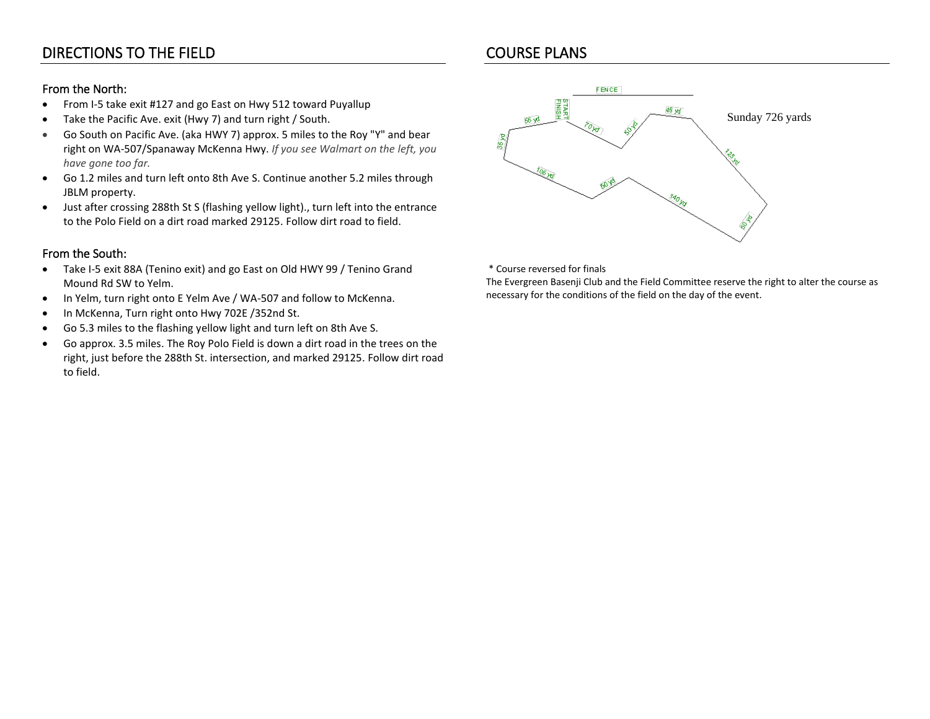# DIRECTIONS TO THE FIELD

### From the North:

- From I-5 take exit #127 and go East on Hwy 512 toward Puyallup
- Take the Pacific Ave. exit (Hwy 7) and turn right / South.
- Go South on Pacific Ave. (aka HWY 7) approx. 5 miles to the Roy "Y" and bear right on WA-507/Spanaway McKenna Hwy. *If you see Walmart on the left, you have gone too far.*
- Go 1.2 miles and turn left onto 8th Ave S. Continue another 5.2 miles through JBLM property.
- Just after crossing 288th St S (flashing yellow light)., turn left into the entrance to the Polo Field on a dirt road marked 29125. Follow dirt road to field.

### From the South:

- Take I-5 exit 88A (Tenino exit) and go East on Old HWY 99 / Tenino Grand Mound Rd SW to Yelm.
- In Yelm, turn right onto E Yelm Ave / WA-507 and follow to McKenna.
- In McKenna, Turn right onto Hwy 702E /352nd St.
- Go 5.3 miles to the flashing yellow light and turn left on 8th Ave S.
- Go approx. 3.5 miles. The Roy Polo Field is down a dirt road in the trees on the right, just before the 288th St. intersection, and marked 29125. Follow dirt road to field.



\* Course reversed for finals

The Evergreen Basenji Club and the Field Committee reserve the right to alter the course as necessary for the conditions of the field on the day of the event.

# COURSE PLANS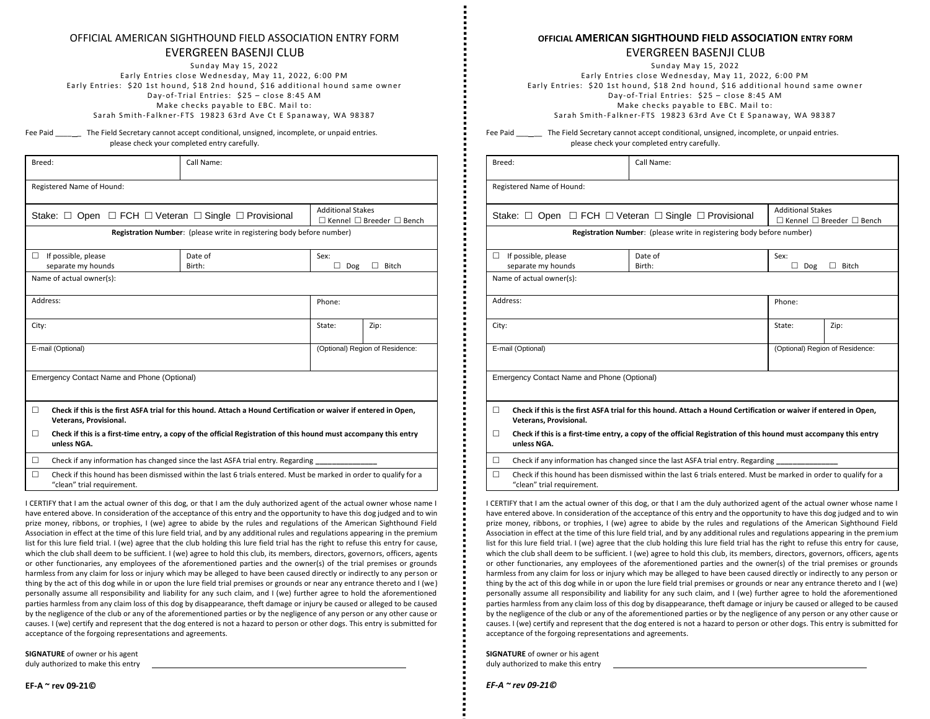#### OFFICIAL AMERICAN SIGHTHOUND FIELD ASSOCIATION ENTRY FORM

### EVERGREEN BASENJI CLUB

Sunday May 15, 2022 Early Entries close Wednesday, May 11, 2022, 6:00 PM Early Entries: \$20 1st hound, \$18 2nd hound, \$16 additional hound same owner Day-of-Trial Entries: \$25 - close 8:45 AM Make checks pavable to EBC. Mail to: Sarah Smith-Falkner-FTS 19823 63rd Ave Ct E Spanaway, WA 98387

Fee Paid **The Field Secretary cannot accept conditional, unsigned, incomplete, or unpaid entries.** please check your completed entry carefully.

| Breed:            |                                                                                                                                                 | Call Name:                                                            |                                                                       |              |
|-------------------|-------------------------------------------------------------------------------------------------------------------------------------------------|-----------------------------------------------------------------------|-----------------------------------------------------------------------|--------------|
|                   | Registered Name of Hound:                                                                                                                       |                                                                       |                                                                       |              |
|                   | Stake: $\Box$ Open $\Box$ FCH $\Box$ Veteran $\Box$ Single $\Box$ Provisional                                                                   |                                                                       | <b>Additional Stakes</b><br>$\Box$ Kennel $\Box$ Breeder $\Box$ Bench |              |
|                   |                                                                                                                                                 | Registration Number: (please write in registering body before number) |                                                                       |              |
| п                 | If possible, please<br>separate my hounds                                                                                                       | Date of<br>Birth:                                                     | Sex:<br>п<br>Dog                                                      | <b>Bitch</b> |
|                   | Name of actual owner(s):                                                                                                                        |                                                                       |                                                                       |              |
|                   | Address:                                                                                                                                        | Phone:                                                                |                                                                       |              |
| City:             |                                                                                                                                                 |                                                                       | State:                                                                | Zip:         |
| E-mail (Optional) |                                                                                                                                                 | (Optional) Region of Residence:                                       |                                                                       |              |
|                   | Emergency Contact Name and Phone (Optional)                                                                                                     |                                                                       |                                                                       |              |
| п                 | Check if this is the first ASFA trial for this hound. Attach a Hound Certification or waiver if entered in Open,<br>Veterans, Provisional.      |                                                                       |                                                                       |              |
| п                 | Check if this is a first-time entry, a copy of the official Registration of this hound must accompany this entry<br>unless NGA.                 |                                                                       |                                                                       |              |
| □                 | Check if any information has changed since the last ASFA trial entry. Regarding                                                                 |                                                                       |                                                                       |              |
| П                 | Check if this hound has been dismissed within the last 6 trials entered. Must be marked in order to qualify for a<br>"clean" trial requirement. |                                                                       |                                                                       |              |

I CERTIFY that I am the actual owner of this dog, or that I am the duly authorized agent of the actual owner whose name I have entered above. In consideration of the acceptance of this entry and the opportunity to have this dog judged and to win prize money, ribbons, or trophies, I (we) agree to abide by the rules and regulations of the American Sighthound Field Association in effect at the time of this lure field trial, and by any additional rules and regulations appearing in the premium list for this lure field trial. I (we) agree that the club holding this lure field trial has the right to refuse this entry for cause, which the club shall deem to be sufficient. I (we) agree to hold this club, its members, directors, governors, officers, agents or other functionaries, any employees of the aforementioned parties and the owner(s) of the trial premises or grounds harmless from any claim for loss or injury which may be alleged to have been caused directly or indirectly to any person or thing by the act of this dog while in or upon the lure field trial premises or grounds or near any entrance thereto and I (we) personally assume all responsibility and liability for any such claim, and I (we) further agree to hold the aforementioned parties harmless from any claim loss of this dog by disappearance, theft damage or injury be caused or alleged to be caused by the negligence of the club or any of the aforementioned parties or by the negligence of any person or any other cause or causes. I (we) certify and represent that the dog entered is not a hazard to person or other dogs. This entry is submitted for acceptance of the forgoing representations and agreements.

**SIGNATURE** of owner or his agent duly authorized to make this entry

#### **OFFICIAL AMERICAN SIGHTHOUND FIELD ASSOCIATION ENTRY FORM**

#### EVERGREEN BASENJI CLUB

Sunday May 15, 2022

Early Entries close Wednesday, May 11, 2022, 6:00 PM Early Entries: \$20 1st hound, \$18 2nd hound, \$16 additional hound same owner Day-of-Trial Entries: \$25 - close 8:45 AM Make checks pavable to EBC. Mail to: Sarah Smith-Falkner-FTS 19823 63rd Ave Ct E Spanaway, WA 98387

Fee Paid **The Field Secretary cannot accept conditional, unsigned, incomplete, or unpaid entries.** please check your completed entry carefully.

| Breed:                                                                                                                                               | Call Name:                                                                                                                                             |          |              |
|------------------------------------------------------------------------------------------------------------------------------------------------------|--------------------------------------------------------------------------------------------------------------------------------------------------------|----------|--------------|
| Registered Name of Hound:                                                                                                                            |                                                                                                                                                        |          |              |
|                                                                                                                                                      | <b>Additional Stakes</b><br>Stake: $\Box$ Open $\Box$ FCH $\Box$ Veteran $\Box$ Single $\Box$ Provisional<br>$\Box$ Kennel $\Box$ Breeder $\Box$ Bench |          |              |
|                                                                                                                                                      | Registration Number: (please write in registering body before number)                                                                                  |          |              |
| If possible, please<br>$\Box$                                                                                                                        | Date of                                                                                                                                                | Sex:     |              |
| separate my hounds                                                                                                                                   | Birth:                                                                                                                                                 | п<br>Dog | $\Box$ Bitch |
| Name of actual owner(s):                                                                                                                             |                                                                                                                                                        |          |              |
| Address:                                                                                                                                             | Phone:                                                                                                                                                 |          |              |
| City:                                                                                                                                                |                                                                                                                                                        | State:   | Zip:         |
| E-mail (Optional)                                                                                                                                    | (Optional) Region of Residence:                                                                                                                        |          |              |
| Emergency Contact Name and Phone (Optional)                                                                                                          |                                                                                                                                                        |          |              |
| П.<br>Check if this is the first ASFA trial for this hound. Attach a Hound Certification or waiver if entered in Open,<br>Veterans, Provisional.     |                                                                                                                                                        |          |              |
| $\Box$<br>Check if this is a first-time entry, a copy of the official Registration of this hound must accompany this entry<br>unless NGA.            |                                                                                                                                                        |          |              |
| $\Box$                                                                                                                                               | Check if any information has changed since the last ASFA trial entry. Regarding                                                                        |          |              |
| Check if this hound has been dismissed within the last 6 trials entered. Must be marked in order to qualify for a<br>П<br>"clean" trial requirement. |                                                                                                                                                        |          |              |

I CERTIFY that I am the actual owner of this dog, or that I am the duly authorized agent of the actual owner whose name I have entered above. In consideration of the acceptance of this entry and the opportunity to have this dog judged and to win prize money, ribbons, or trophies, I (we) agree to abide by the rules and regulations of the American Sighthound Field Association in effect at the time of this lure field trial, and by any additional rules and regulations appearing in the premium list for this lure field trial. I (we) agree that the club holding this lure field trial has the right to refuse this entry for cause, which the club shall deem to be sufficient. I (we) agree to hold this club, its members, directors, governors, officers, agents or other functionaries, any employees of the aforementioned parties and the owner(s) of the trial premises or grounds harmless from any claim for loss or injury which may be alleged to have been caused directly or indirectly to any person or thing by the act of this dog while in or upon the lure field trial premises or grounds or near any entrance thereto and I (we) personally assume all responsibility and liability for any such claim, and I (we) further agree to hold the aforementioned parties harmless from any claim loss of this dog by disappearance, theft damage or injury be caused or alleged to be caused by the negligence of the club or any of the aforementioned parties or by the negligence of any person or any other cause or causes. I (we) certify and represent that the dog entered is not a hazard to person or other dogs. This entry is submitted for acceptance of the forgoing representations and agreements.

**SIGNATURE** of owner or his agent duly authorized to make this entry

**EF-A ~ rev 09-21©**